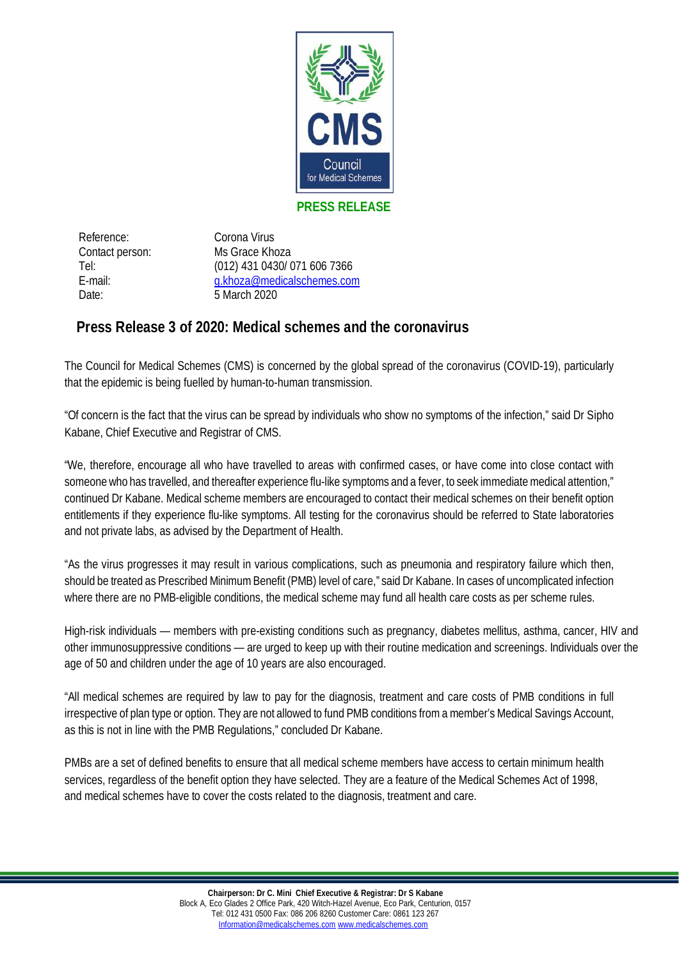

## **PRESS RELEASE**

Reference: Corona Virus Date: 5 March 2020

Contact person: Ms Grace Khoza Tel: (012) 431 0430/ 071 606 7366 E-mail: [g.khoza@medicalschemes.com](mailto:g.khoza@medicalschemes.com)

## **Press Release 3 of 2020: Medical schemes and the coronavirus**

The Council for Medical Schemes (CMS) is concerned by the global spread of the coronavirus (COVID-19), particularly that the epidemic is being fuelled by human-to-human transmission.

"Of concern is the fact that the virus can be spread by individuals who show no symptoms of the infection," said Dr Sipho Kabane, Chief Executive and Registrar of CMS.

"We, therefore, encourage all who have travelled to areas with confirmed cases, or have come into close contact with someone who has travelled, and thereafter experience flu-like symptoms and a fever, to seek immediate medical attention," continued Dr Kabane. Medical scheme members are encouraged to contact their medical schemes on their benefit option entitlements if they experience flu-like symptoms. All testing for the coronavirus should be referred to State laboratories and not private labs, as advised by the Department of Health.

"As the virus progresses it may result in various complications, such as pneumonia and respiratory failure which then, should be treated as Prescribed Minimum Benefit (PMB) level of care," said Dr Kabane. In cases of uncomplicated infection where there are no PMB-eligible conditions, the medical scheme may fund all health care costs as per scheme rules.

High-risk individuals — members with pre-existing conditions such as pregnancy, diabetes mellitus, asthma, cancer, HIV and other immunosuppressive conditions — are urged to keep up with their routine medication and screenings. Individuals over the age of 50 and children under the age of 10 years are also encouraged.

"All medical schemes are required by law to pay for the diagnosis, treatment and care costs of PMB conditions in full irrespective of plan type or option. They are not allowed to fund PMB conditions from a member's Medical Savings Account, as this is not in line with the PMB Regulations," concluded Dr Kabane.

PMBs are a set of defined benefits to ensure that all medical scheme members have access to certain minimum health services, regardless of the benefit option they have selected. They are a feature of the Medical Schemes Act of 1998, and medical schemes have to cover the costs related to the diagnosis, treatment and care.